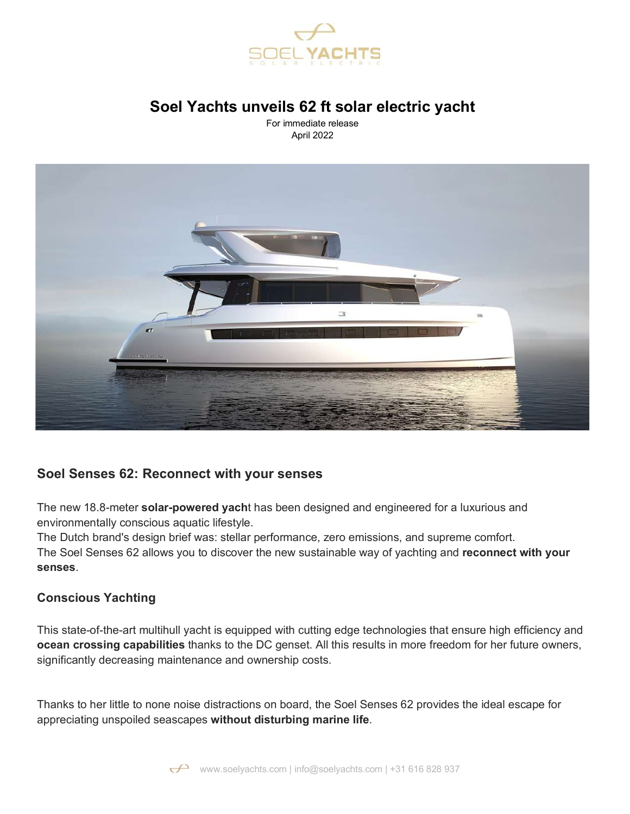

# **Soel Yachts unveils 62 ft solar electric yacht**

For immediate release April 2022



# **Soel Senses 62: Reconnect with your senses**

The new 18.8-meter **solar-powered yach**t has been designed and engineered for a luxurious and environmentally conscious aquatic lifestyle.

The Dutch brand's design brief was: stellar performance, zero emissions, and supreme comfort. The Soel Senses 62 allows you to discover the new sustainable way of yachting and **reconnect with your senses**.

## **Conscious Yachting**

This state-of-the-art multihull yacht is equipped with cutting edge technologies that ensure high efficiency and **ocean crossing capabilities** thanks to the DC genset. All this results in more freedom for her future owners, significantly decreasing maintenance and ownership costs.

Thanks to her little to none noise distractions on board, the Soel Senses 62 provides the ideal escape for appreciating unspoiled seascapes **without disturbing marine life**.

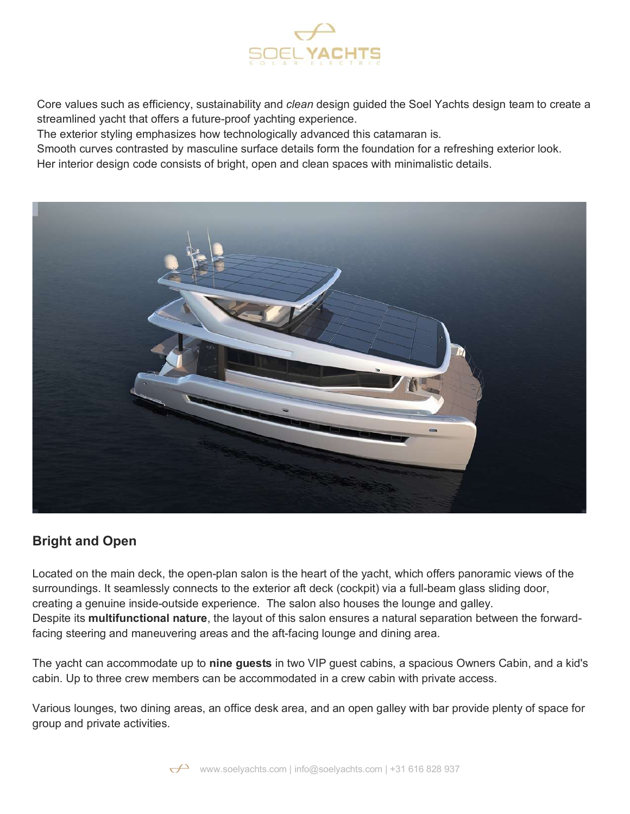

Core values such as efficiency, sustainability and *clean* design guided the Soel Yachts design team to create a streamlined yacht that offers a future-proof yachting experience.

The exterior styling emphasizes how technologically advanced this catamaran is.

Smooth curves contrasted by masculine surface details form the foundation for a refreshing exterior look.

Her interior design code consists of bright, open and clean spaces with minimalistic details.



# **Bright and Open**

Located on the main deck, the open-plan salon is the heart of the yacht, which offers panoramic views of the surroundings. It seamlessly connects to the exterior aft deck (cockpit) via a full-beam glass sliding door, creating a genuine inside-outside experience. The salon also houses the lounge and galley. Despite its **multifunctional nature**, the layout of this salon ensures a natural separation between the forwardfacing steering and maneuvering areas and the aft-facing lounge and dining area.

The yacht can accommodate up to **nine guests** in two VIP guest cabins, a spacious Owners Cabin, and a kid's cabin. Up to three crew members can be accommodated in a crew cabin with private access.

Various lounges, two dining areas, an office desk area, and an open galley with bar provide plenty of space for group and private activities.

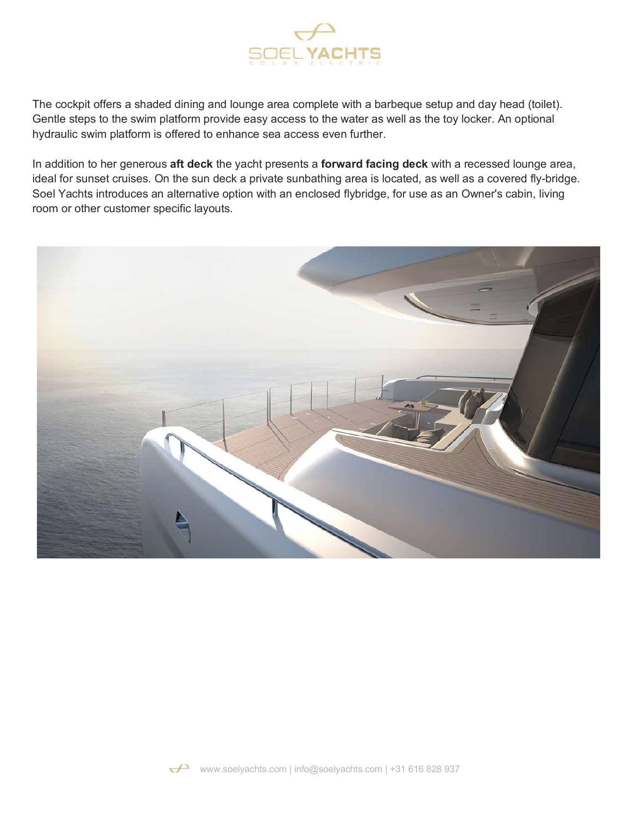

The cockpit offers a shaded dining and lounge area complete with a barbeque setup and day head (toilet). Gentle steps to the swim platform provide easy access to the water as well as the toy locker. An optional hydraulic swim platform is offered to enhance sea access even further.

In addition to her generous **aft deck** the yacht presents a **forward facing deck** with a recessed lounge area, ideal for sunset cruises. On the sun deck a private sunbathing area is located, as well as a covered fly-bridge. Soel Yachts introduces an alternative option with an enclosed flybridge, for use as an Owner's cabin, living room or other customer specific layouts.



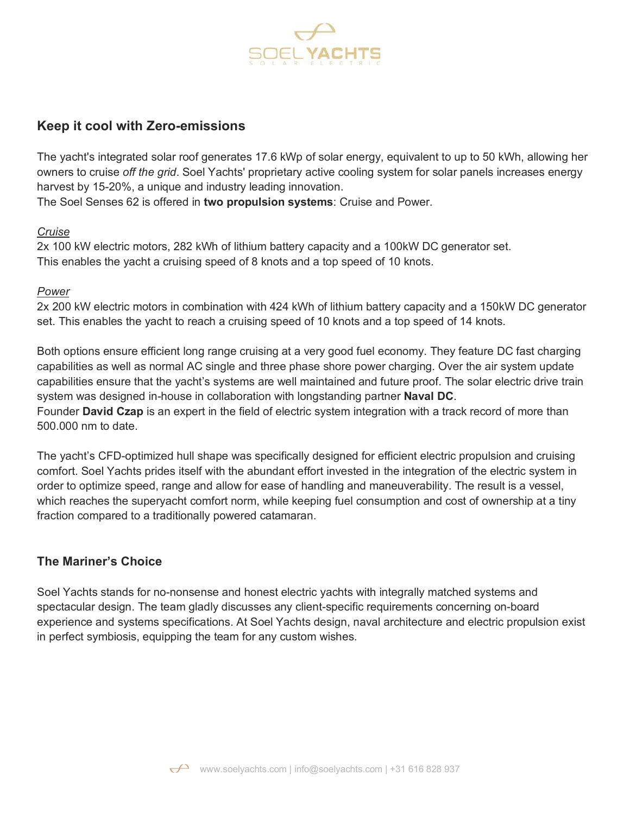

# **Keep it cool with Zero-emissions**

The yacht's integrated solar roof generates 17.6 kWp of solar energy, equivalent to up to 50 kWh, allowing her owners to cruise *off the grid*. Soel Yachts' proprietary active cooling system for solar panels increases energy harvest by 15-20%, a unique and industry leading innovation.

The Soel Senses 62 is offered in **two propulsion systems**: Cruise and Power.

#### *Cruise*

2x 100 kW electric motors, 282 kWh of lithium battery capacity and a 100kW DC generator set. This enables the yacht a cruising speed of 8 knots and a top speed of 10 knots.

#### *Power*

2x 200 kW electric motors in combination with 424 kWh of lithium battery capacity and a 150kW DC generator set. This enables the yacht to reach a cruising speed of 10 knots and a top speed of 14 knots.

Both options ensure efficient long range cruising at a very good fuel economy. They feature DC fast charging capabilities as well as normal AC single and three phase shore power charging. Over the air system update capabilities ensure that the yacht's systems are well maintained and future proof. The solar electric drive train system was designed in-house in collaboration with longstanding partner **Naval DC**. Founder **David Czap** is an expert in the field of electric system integration with a track record of more than 500.000 nm to date.

The yacht's CFD-optimized hull shape was specifically designed for efficient electric propulsion and cruising comfort. Soel Yachts prides itself with the abundant effort invested in the integration of the electric system in order to optimize speed, range and allow for ease of handling and maneuverability. The result is a vessel, which reaches the superyacht comfort norm, while keeping fuel consumption and cost of ownership at a tiny fraction compared to a traditionally powered catamaran.

## **The Mariner's Choice**

Soel Yachts stands for no-nonsense and honest electric yachts with integrally matched systems and spectacular design. The team gladly discusses any client-specific requirements concerning on-board experience and systems specifications. At Soel Yachts design, naval architecture and electric propulsion exist in perfect symbiosis, equipping the team for any custom wishes.